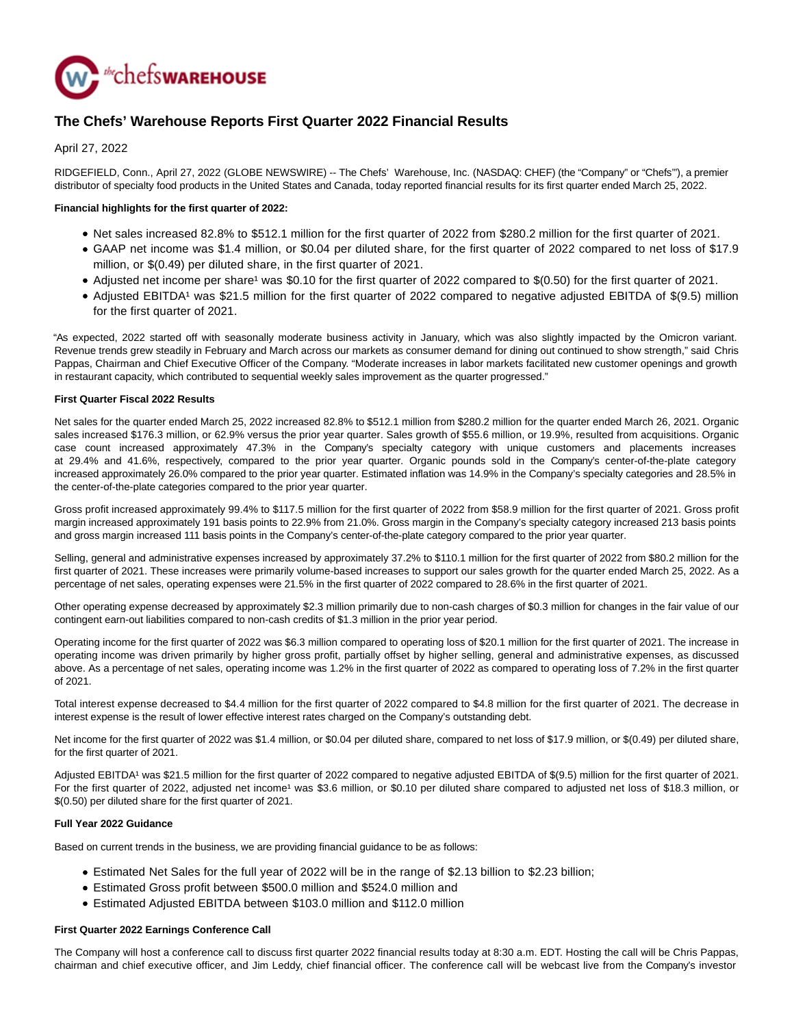

# **The Chefs' Warehouse Reports First Quarter 2022 Financial Results**

## April 27, 2022

RIDGEFIELD, Conn., April 27, 2022 (GLOBE NEWSWIRE) -- The Chefs' Warehouse, Inc. (NASDAQ: CHEF) (the "Company" or "Chefs'"), a premier distributor of specialty food products in the United States and Canada, today reported financial results for its first quarter ended March 25, 2022.

### **Financial highlights for the first quarter of 2022:**

- Net sales increased 82.8% to \$512.1 million for the first quarter of 2022 from \$280.2 million for the first quarter of 2021.
- GAAP net income was \$1.4 million, or \$0.04 per diluted share, for the first quarter of 2022 compared to net loss of \$17.9 million, or \$(0.49) per diluted share, in the first quarter of 2021.
- Adjusted net income per share<sup>1</sup> was \$0.10 for the first quarter of 2022 compared to \$(0.50) for the first quarter of 2021.
- Adjusted EBITDA<sup>1</sup> was \$21.5 million for the first quarter of 2022 compared to negative adjusted EBITDA of \$(9.5) million for the first quarter of 2021.

"As expected, 2022 started off with seasonally moderate business activity in January, which was also slightly impacted by the Omicron variant. Revenue trends grew steadily in February and March across our markets as consumer demand for dining out continued to show strength," said Chris Pappas, Chairman and Chief Executive Officer of the Company. "Moderate increases in labor markets facilitated new customer openings and growth in restaurant capacity, which contributed to sequential weekly sales improvement as the quarter progressed."

#### **First Quarter Fiscal 2022 Results**

Net sales for the quarter ended March 25, 2022 increased 82.8% to \$512.1 million from \$280.2 million for the quarter ended March 26, 2021. Organic sales increased \$176.3 million, or 62.9% versus the prior year quarter. Sales growth of \$55.6 million, or 19.9%, resulted from acquisitions. Organic case count increased approximately 47.3% in the Company's specialty category with unique customers and placements increases at 29.4% and 41.6%, respectively, compared to the prior year quarter. Organic pounds sold in the Company's center-of-the-plate category increased approximately 26.0% compared to the prior year quarter. Estimated inflation was 14.9% in the Company's specialty categories and 28.5% in the center-of-the-plate categories compared to the prior year quarter.

Gross profit increased approximately 99.4% to \$117.5 million for the first quarter of 2022 from \$58.9 million for the first quarter of 2021. Gross profit margin increased approximately 191 basis points to 22.9% from 21.0%. Gross margin in the Company's specialty category increased 213 basis points and gross margin increased 111 basis points in the Company's center-of-the-plate category compared to the prior year quarter.

Selling, general and administrative expenses increased by approximately 37.2% to \$110.1 million for the first quarter of 2022 from \$80.2 million for the first quarter of 2021. These increases were primarily volume-based increases to support our sales growth for the quarter ended March 25, 2022. As a percentage of net sales, operating expenses were 21.5% in the first quarter of 2022 compared to 28.6% in the first quarter of 2021.

Other operating expense decreased by approximately \$2.3 million primarily due to non-cash charges of \$0.3 million for changes in the fair value of our contingent earn-out liabilities compared to non-cash credits of \$1.3 million in the prior year period.

Operating income for the first quarter of 2022 was \$6.3 million compared to operating loss of \$20.1 million for the first quarter of 2021. The increase in operating income was driven primarily by higher gross profit, partially offset by higher selling, general and administrative expenses, as discussed above. As a percentage of net sales, operating income was 1.2% in the first quarter of 2022 as compared to operating loss of 7.2% in the first quarter of 2021.

Total interest expense decreased to \$4.4 million for the first quarter of 2022 compared to \$4.8 million for the first quarter of 2021. The decrease in interest expense is the result of lower effective interest rates charged on the Company's outstanding debt.

Net income for the first quarter of 2022 was \$1.4 million, or \$0.04 per diluted share, compared to net loss of \$17.9 million, or \$(0.49) per diluted share, for the first quarter of 2021.

Adjusted EBITDA<sup>1</sup> was \$21.5 million for the first quarter of 2022 compared to negative adjusted EBITDA of \$(9.5) million for the first quarter of 2021. For the first quarter of 2022, adjusted net income<sup>1</sup> was \$3.6 million, or \$0.10 per diluted share compared to adjusted net loss of \$18.3 million, or \$(0.50) per diluted share for the first quarter of 2021.

#### **Full Year 2022 Guidance**

Based on current trends in the business, we are providing financial guidance to be as follows:

- Estimated Net Sales for the full year of 2022 will be in the range of \$2.13 billion to \$2.23 billion;
- Estimated Gross profit between \$500.0 million and \$524.0 million and
- Estimated Adjusted EBITDA between \$103.0 million and \$112.0 million

#### **First Quarter 2022 Earnings Conference Call**

The Company will host a conference call to discuss first quarter 2022 financial results today at 8:30 a.m. EDT. Hosting the call will be Chris Pappas, chairman and chief executive officer, and Jim Leddy, chief financial officer. The conference call will be webcast live from the Company's investor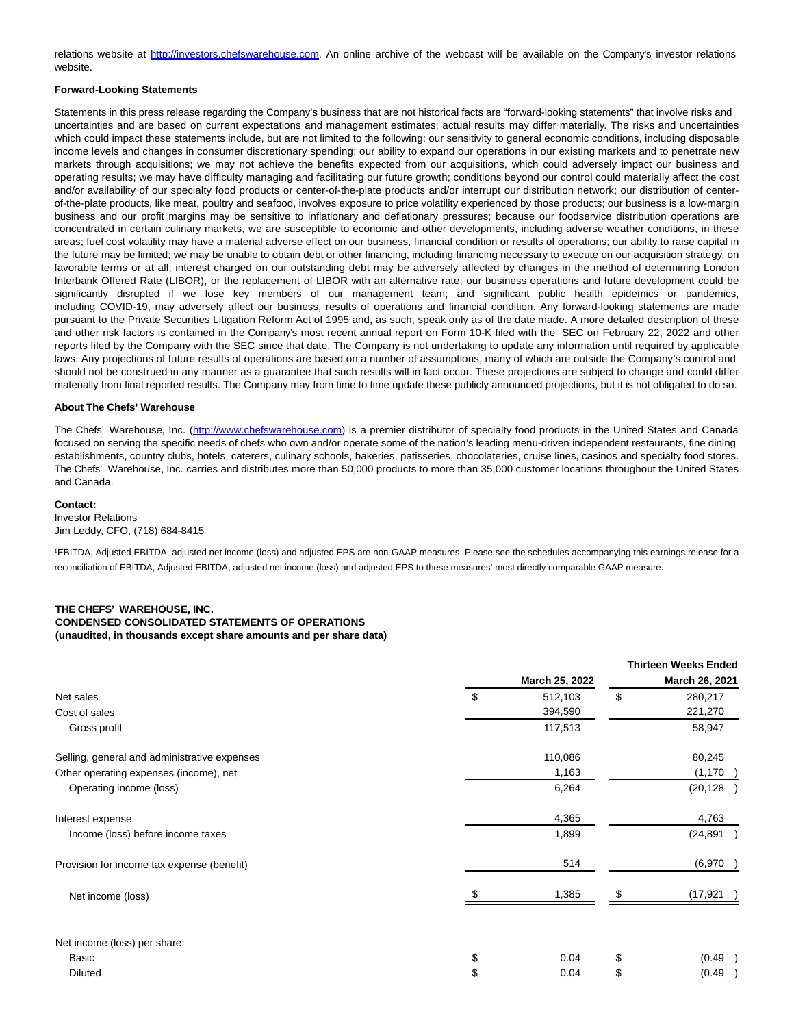relations website at [http://investors.chefswarehouse.com.](https://www.globenewswire.com/Tracker?data=c7dczUd_8OFSGGiYD-SfnrIHKZqUu6kc7OpSc1Hk7NPX4qzP0xi4cCPSXdslkrL1qZPFTBut5aH3XUmFMKDP7w2s144wKieSg9DwZhLQgjTh_cBE9kUxhGuxAaQCkj6F) An online archive of the webcast will be available on the Company's investor relations website.

#### **Forward-Looking Statements**

Statements in this press release regarding the Company's business that are not historical facts are "forward-looking statements" that involve risks and uncertainties and are based on current expectations and management estimates; actual results may differ materially. The risks and uncertainties which could impact these statements include, but are not limited to the following: our sensitivity to general economic conditions, including disposable income levels and changes in consumer discretionary spending; our ability to expand our operations in our existing markets and to penetrate new markets through acquisitions; we may not achieve the benefits expected from our acquisitions, which could adversely impact our business and operating results; we may have difficulty managing and facilitating our future growth; conditions beyond our control could materially affect the cost and/or availability of our specialty food products or center-of-the-plate products and/or interrupt our distribution network; our distribution of centerof-the-plate products, like meat, poultry and seafood, involves exposure to price volatility experienced by those products; our business is a low-margin business and our profit margins may be sensitive to inflationary and deflationary pressures; because our foodservice distribution operations are concentrated in certain culinary markets, we are susceptible to economic and other developments, including adverse weather conditions, in these areas; fuel cost volatility may have a material adverse effect on our business, financial condition or results of operations; our ability to raise capital in the future may be limited; we may be unable to obtain debt or other financing, including financing necessary to execute on our acquisition strategy, on favorable terms or at all; interest charged on our outstanding debt may be adversely affected by changes in the method of determining London Interbank Offered Rate (LIBOR), or the replacement of LIBOR with an alternative rate; our business operations and future development could be significantly disrupted if we lose key members of our management team; and significant public health epidemics or pandemics, including COVID-19, may adversely affect our business, results of operations and financial condition. Any forward-looking statements are made pursuant to the Private Securities Litigation Reform Act of 1995 and, as such, speak only as of the date made. A more detailed description of these and other risk factors is contained in the Company's most recent annual report on Form 10-K filed with the SEC on February 22, 2022 and other reports filed by the Company with the SEC since that date. The Company is not undertaking to update any information until required by applicable laws. Any projections of future results of operations are based on a number of assumptions, many of which are outside the Company's control and should not be construed in any manner as a guarantee that such results will in fact occur. These projections are subject to change and could differ materially from final reported results. The Company may from time to time update these publicly announced projections, but it is not obligated to do so.

#### **About The Chefs' Warehouse**

The Chefs' Warehouse, Inc. [\(http://www.chefswarehouse.com\)](https://www.globenewswire.com/Tracker?data=c7dczUd_8OFSGGiYD-SfnvZVyIuRxfjiz_KnL5wWzri1xFm23ML99VjNia1E_XvlOt8Y637qkNKO7M76nzmzSFTiR4r60CHyDzeAmzbCl9fRRQnsxli-yMCSJRsIHSrz) is a premier distributor of specialty food products in the United States and Canada focused on serving the specific needs of chefs who own and/or operate some of the nation's leading menu-driven independent restaurants, fine dining establishments, country clubs, hotels, caterers, culinary schools, bakeries, patisseries, chocolateries, cruise lines, casinos and specialty food stores. The Chefs' Warehouse, Inc. carries and distributes more than 50,000 products to more than 35,000 customer locations throughout the United States and Canada.

**Contact:** Investor Relations Jim Leddy, CFO, (718) 684-8415

<sup>1</sup>EBITDA, Adjusted EBITDA, adjusted net income (loss) and adjusted EPS are non-GAAP measures. Please see the schedules accompanying this earnings release for a reconciliation of EBITDA, Adjusted EBITDA, adjusted net income (loss) and adjusted EPS to these measures' most directly comparable GAAP measure.

#### **THE CHEFS' WAREHOUSE, INC. CONDENSED CONSOLIDATED STATEMENTS OF OPERATIONS (unaudited, in thousands except share amounts and per share data)**

|                                              |                | <b>Thirteen Weeks Ended</b> |
|----------------------------------------------|----------------|-----------------------------|
|                                              | March 25, 2022 | March 26, 2021              |
| Net sales                                    | \$<br>512,103  | \$<br>280,217               |
| Cost of sales                                | 394,590        | 221,270                     |
| Gross profit                                 | 117,513        | 58,947                      |
| Selling, general and administrative expenses | 110,086        | 80,245                      |
| Other operating expenses (income), net       | 1,163          | (1, 170)                    |
| Operating income (loss)                      | 6,264          | (20, 128)                   |
| Interest expense                             | 4,365          | 4,763                       |
| Income (loss) before income taxes            | 1,899          | (24,891                     |
| Provision for income tax expense (benefit)   | 514            | (6,970)                     |
| Net income (loss)                            | 1,385          | (17, 921)                   |
|                                              |                |                             |
| Net income (loss) per share:                 |                |                             |
| Basic                                        | \$<br>0.04     | \$<br>(0.49)                |
| Diluted                                      | \$<br>0.04     | \$<br>(0.49)                |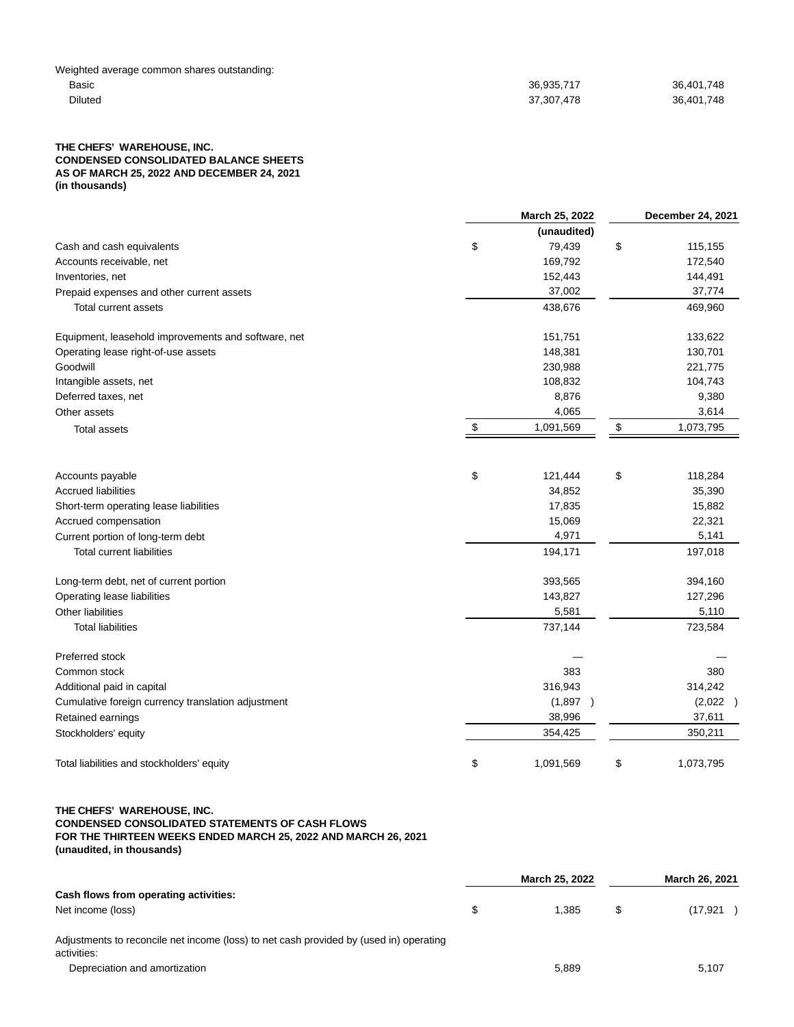Weighted average common shares outstanding:

| Basic          | 36.935.717 | 36,401,748 |
|----------------|------------|------------|
| <b>Diluted</b> | 37.307.478 | 36,401,748 |

#### **THE CHEFS' WAREHOUSE, INC. CONDENSED CONSOLIDATED BALANCE SHEETS AS OF MARCH 25, 2022 AND DECEMBER 24, 2021 (in thousands)**

|                                                     | March 25, 2022  | December 24, 2021    |
|-----------------------------------------------------|-----------------|----------------------|
|                                                     | (unaudited)     |                      |
| Cash and cash equivalents                           | \$<br>79,439    | \$<br>115,155        |
| Accounts receivable, net                            | 169,792         | 172,540              |
| Inventories, net                                    | 152,443         | 144,491              |
| Prepaid expenses and other current assets           | 37,002          | 37,774               |
| Total current assets                                | 438,676         | 469,960              |
| Equipment, leasehold improvements and software, net | 151,751         | 133,622              |
| Operating lease right-of-use assets                 | 148,381         | 130,701              |
| Goodwill                                            | 230,988         | 221,775              |
| Intangible assets, net                              | 108,832         | 104,743              |
| Deferred taxes, net                                 | 8,876           | 9,380                |
| Other assets                                        | 4,065           | 3,614                |
| <b>Total assets</b>                                 | \$<br>1,091,569 | \$<br>1,073,795      |
|                                                     |                 |                      |
| Accounts payable                                    | \$<br>121,444   | \$<br>118,284        |
| <b>Accrued liabilities</b>                          | 34,852          | 35,390               |
| Short-term operating lease liabilities              | 17,835          | 15,882               |
| Accrued compensation                                | 15,069          | 22,321               |
| Current portion of long-term debt                   | 4,971           | 5,141                |
| <b>Total current liabilities</b>                    | 194,171         | 197,018              |
| Long-term debt, net of current portion              | 393,565         | 394,160              |
| Operating lease liabilities                         | 143,827         | 127,296              |
| <b>Other liabilities</b>                            | 5,581           | 5,110                |
| <b>Total liabilities</b>                            | 737,144         | 723,584              |
| Preferred stock                                     |                 |                      |
| Common stock                                        | 383             | 380                  |
| Additional paid in capital                          | 316,943         | 314,242              |
| Cumulative foreign currency translation adjustment  | (1,897)         | (2,022)<br>$\lambda$ |
| Retained earnings                                   | 38,996          | 37,611               |
| Stockholders' equity                                | 354,425         | 350,211              |
| Total liabilities and stockholders' equity          | \$<br>1,091,569 | \$<br>1,073,795      |
|                                                     |                 |                      |

### **THE CHEFS' WAREHOUSE, INC. CONDENSED CONSOLIDATED STATEMENTS OF CASH FLOWS FOR THE THIRTEEN WEEKS ENDED MARCH 25, 2022 AND MARCH 26, 2021 (unaudited, in thousands)**

|                                                                                        | March 25, 2022 | March 26, 2021 |
|----------------------------------------------------------------------------------------|----------------|----------------|
| Cash flows from operating activities:                                                  |                |                |
| Net income (loss)                                                                      | 1.385          | (17.921        |
| Adjustments to reconcile net income (loss) to net cash provided by (used in) operating |                |                |

activities: Depreciation and amortization 5,889 5,107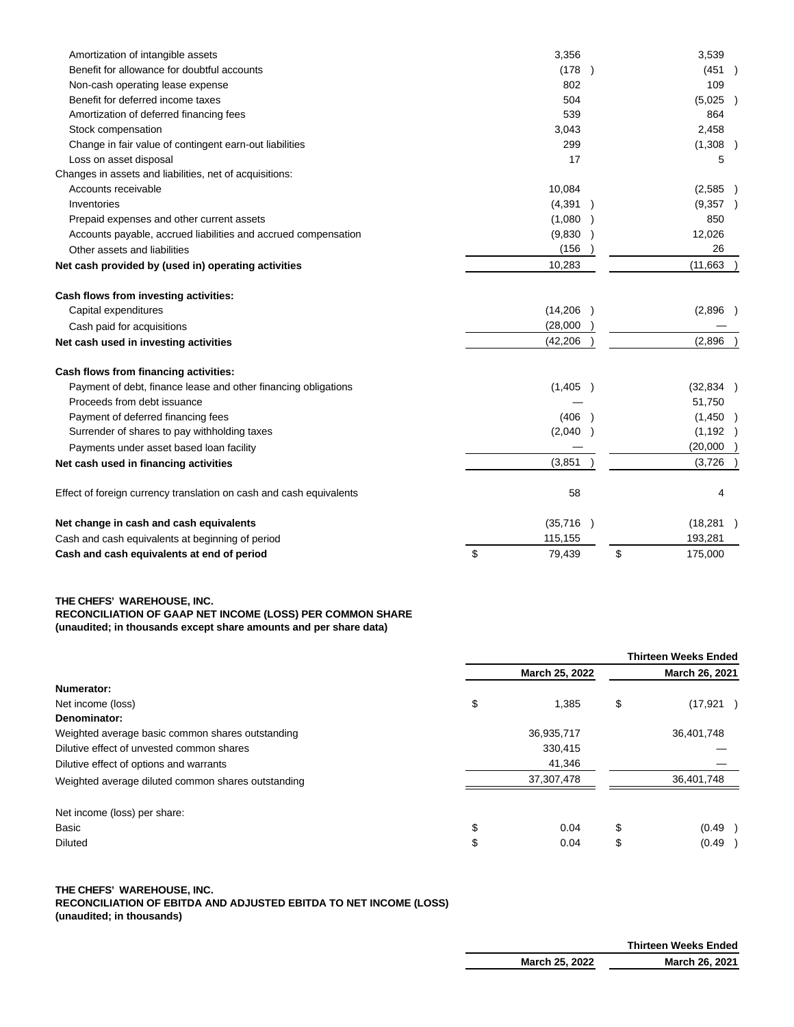| Cash and cash equivalents at end of period                          | \$<br>79,439 | \$<br>175,000 |
|---------------------------------------------------------------------|--------------|---------------|
| Cash and cash equivalents at beginning of period                    | 115,155      | 193,281       |
| Net change in cash and cash equivalents                             | (35,716)     | (18, 281)     |
| Effect of foreign currency translation on cash and cash equivalents | 58           | 4             |
| Net cash used in financing activities                               | (3,851)      | (3,726)       |
| Payments under asset based loan facility                            |              | (20,000)      |
| Surrender of shares to pay withholding taxes                        | (2,040)      | (1, 192)      |
| Payment of deferred financing fees                                  | (406)        | (1,450)       |
| Proceeds from debt issuance                                         |              | 51,750        |
| Payment of debt, finance lease and other financing obligations      | (1, 405)     | (32,834)      |
| Cash flows from financing activities:                               |              |               |
| Net cash used in investing activities                               | (42, 206)    | (2,896)       |
| Cash paid for acquisitions                                          | (28,000)     |               |
| Capital expenditures                                                | (14, 206)    | (2,896)       |
| Cash flows from investing activities:                               |              |               |
| Net cash provided by (used in) operating activities                 | 10,283       | (11, 663)     |
| Other assets and liabilities                                        | (156)        | 26            |
| Accounts payable, accrued liabilities and accrued compensation      | (9,830)      | 12,026        |
| Prepaid expenses and other current assets                           | (1,080)      | 850           |
| Inventories                                                         | (4, 391)     | (9,357)       |
| Accounts receivable                                                 | 10,084       | (2,585)       |
| Changes in assets and liabilities, net of acquisitions:             |              |               |
| Loss on asset disposal                                              | 17           | 5             |
| Change in fair value of contingent earn-out liabilities             | 299          | (1, 308)      |
| Stock compensation                                                  | 3,043        | 2,458         |
| Amortization of deferred financing fees                             | 539          | 864           |
| Benefit for deferred income taxes                                   | 504          | (5,025)       |
| Non-cash operating lease expense                                    | 802          | 109           |
| Benefit for allowance for doubtful accounts                         | (178)        | (451)         |
| Amortization of intangible assets                                   | 3,356        | 3,539         |

# **THE CHEFS' WAREHOUSE, INC.**

# **RECONCILIATION OF GAAP NET INCOME (LOSS) PER COMMON SHARE**

**(unaudited; in thousands except share amounts and per share data)**

|                                                    |                | <b>Thirteen Weeks Ended</b> |
|----------------------------------------------------|----------------|-----------------------------|
|                                                    | March 25, 2022 | March 26, 2021              |
| Numerator:                                         |                |                             |
| Net income (loss)                                  | \$<br>1.385    | \$<br>(17, 921)             |
| Denominator:                                       |                |                             |
| Weighted average basic common shares outstanding   | 36,935,717     | 36,401,748                  |
| Dilutive effect of unvested common shares          | 330.415        |                             |
| Dilutive effect of options and warrants            | 41,346         |                             |
| Weighted average diluted common shares outstanding | 37,307,478     | 36,401,748                  |
| Net income (loss) per share:                       |                |                             |
| Basic                                              | \$<br>0.04     | \$<br>(0.49)                |
| Diluted                                            | \$<br>0.04     | \$<br>(0.49)                |

## **THE CHEFS' WAREHOUSE, INC.**

**RECONCILIATION OF EBITDA AND ADJUSTED EBITDA TO NET INCOME (LOSS)**

**(unaudited; in thousands)**

|                | <b>Thirteen Weeks Ended</b> |
|----------------|-----------------------------|
| March 25, 2022 | March 26, 2021              |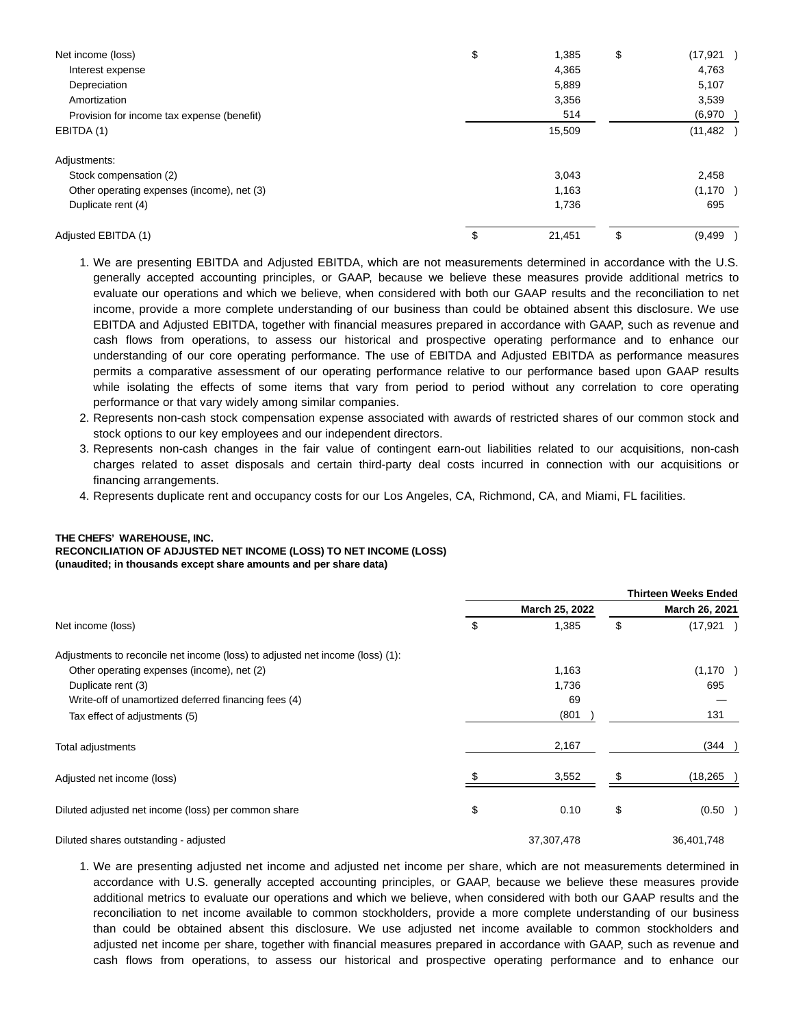| Net income (loss)                          | \$<br>1,385  | \$<br>(17,921  |
|--------------------------------------------|--------------|----------------|
| Interest expense                           | 4,365        | 4,763          |
| Depreciation                               | 5,889        | 5,107          |
| Amortization                               | 3,356        | 3,539          |
| Provision for income tax expense (benefit) | 514          | (6,970)        |
| EBITDA (1)                                 | 15,509       | (11,482        |
| Adjustments:                               |              |                |
| Stock compensation (2)                     | 3,043        | 2,458          |
| Other operating expenses (income), net (3) | 1,163        | (1, 170)       |
| Duplicate rent (4)                         | 1,736        | 695            |
| Adjusted EBITDA (1)                        | \$<br>21.451 | \$<br>(9, 499) |

- 1. We are presenting EBITDA and Adjusted EBITDA, which are not measurements determined in accordance with the U.S. generally accepted accounting principles, or GAAP, because we believe these measures provide additional metrics to evaluate our operations and which we believe, when considered with both our GAAP results and the reconciliation to net income, provide a more complete understanding of our business than could be obtained absent this disclosure. We use EBITDA and Adjusted EBITDA, together with financial measures prepared in accordance with GAAP, such as revenue and cash flows from operations, to assess our historical and prospective operating performance and to enhance our understanding of our core operating performance. The use of EBITDA and Adjusted EBITDA as performance measures permits a comparative assessment of our operating performance relative to our performance based upon GAAP results while isolating the effects of some items that vary from period to period without any correlation to core operating performance or that vary widely among similar companies.
- 2. Represents non-cash stock compensation expense associated with awards of restricted shares of our common stock and stock options to our key employees and our independent directors.
- 3. Represents non-cash changes in the fair value of contingent earn-out liabilities related to our acquisitions, non-cash charges related to asset disposals and certain third-party deal costs incurred in connection with our acquisitions or financing arrangements.
- 4. Represents duplicate rent and occupancy costs for our Los Angeles, CA, Richmond, CA, and Miami, FL facilities.

## **THE CHEFS' WAREHOUSE, INC. RECONCILIATION OF ADJUSTED NET INCOME (LOSS) TO NET INCOME (LOSS) (unaudited; in thousands except share amounts and per share data)**

|                                                                               |                | <b>Thirteen Weeks Ended</b> |
|-------------------------------------------------------------------------------|----------------|-----------------------------|
|                                                                               | March 25, 2022 | March 26, 2021              |
| Net income (loss)                                                             | \$<br>1,385    | \$<br>(17, 921)             |
| Adjustments to reconcile net income (loss) to adjusted net income (loss) (1): |                |                             |
| Other operating expenses (income), net (2)                                    | 1,163          | (1, 170)                    |
| Duplicate rent (3)                                                            | 1,736          | 695                         |
| Write-off of unamortized deferred financing fees (4)                          | 69             |                             |
| Tax effect of adjustments (5)                                                 | (801)          | 131                         |
| Total adjustments                                                             | 2,167          | (344                        |
| Adjusted net income (loss)                                                    | 3,552          | (18,265                     |
| Diluted adjusted net income (loss) per common share                           | \$<br>0.10     | \$<br>(0.50)                |
| Diluted shares outstanding - adjusted                                         | 37,307,478     | 36,401,748                  |

1. We are presenting adjusted net income and adjusted net income per share, which are not measurements determined in accordance with U.S. generally accepted accounting principles, or GAAP, because we believe these measures provide additional metrics to evaluate our operations and which we believe, when considered with both our GAAP results and the reconciliation to net income available to common stockholders, provide a more complete understanding of our business than could be obtained absent this disclosure. We use adjusted net income available to common stockholders and adjusted net income per share, together with financial measures prepared in accordance with GAAP, such as revenue and cash flows from operations, to assess our historical and prospective operating performance and to enhance our